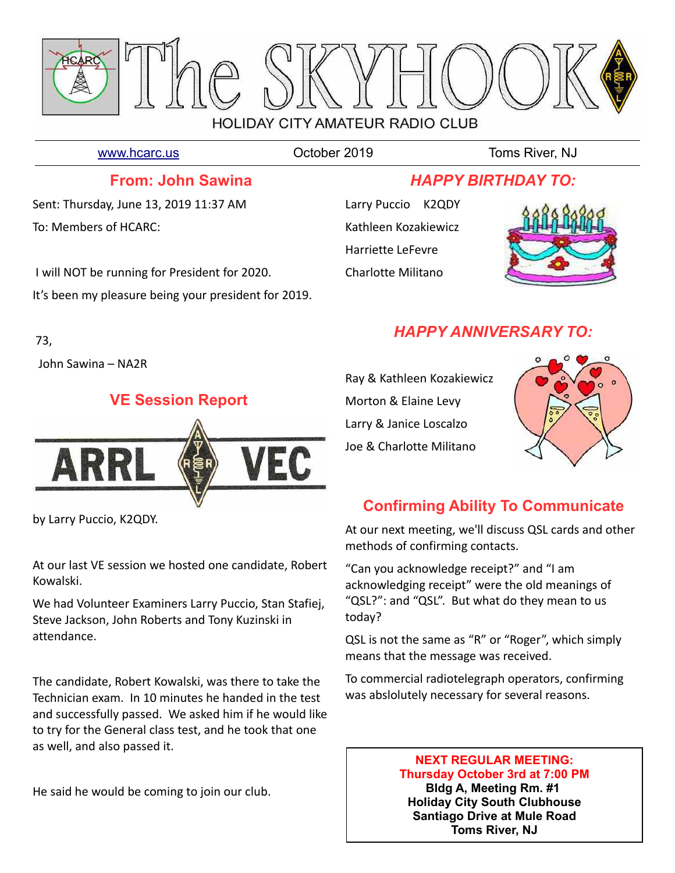

[www.hcarc.us](http://www.hcarc.us/) October 2019 Toms River, NJ

## **From: John Sawina**

Sent: Thursday, June 13, 2019 11:37 AM To: Members of HCARC:

 I will NOT be running for President for 2020. It's been my pleasure being your president for 2019.

73,

John Sawina – NA2R

## **VE Session Report**



by Larry Puccio, K2QDY.

At our last VE session we hosted one candidate, Robert Kowalski.

We had Volunteer Examiners Larry Puccio, Stan Stafiej, Steve Jackson, John Roberts and Tony Kuzinski in attendance.

The candidate, Robert Kowalski, was there to take the Technician exam. In 10 minutes he handed in the test and successfully passed. We asked him if he would like to try for the General class test, and he took that one as well, and also passed it.

He said he would be coming to join our club.

## *HAPPY BIRTHDAY TO:*

Larry Puccio K2QDY Kathleen Kozakiewicz Harriette LeFevre Charlotte Militano



## *HAPPY ANNIVERSARY TO:*

Ray & Kathleen Kozakiewicz Morton & Elaine Levy Larry & Janice Loscalzo Joe & Charlotte Militano



## **Confirming Ability To Communicate**

At our next meeting, we'll discuss QSL cards and other methods of confirming contacts.

"Can you acknowledge receipt?" and "I am acknowledging receipt" were the old meanings of "QSL?": and "QSL". But what do they mean to us today?

QSL is not the same as "R" or "Roger", which simply means that the message was received.

To commercial radiotelegraph operators, confirming was abslolutely necessary for several reasons.

#### **NEXT REGULAR MEETING: Thursday October 3rd at 7:00 PM Bldg A, Meeting Rm. #1 Holiday City South Clubhouse Santiago Drive at Mule Road**

**Toms River, NJ**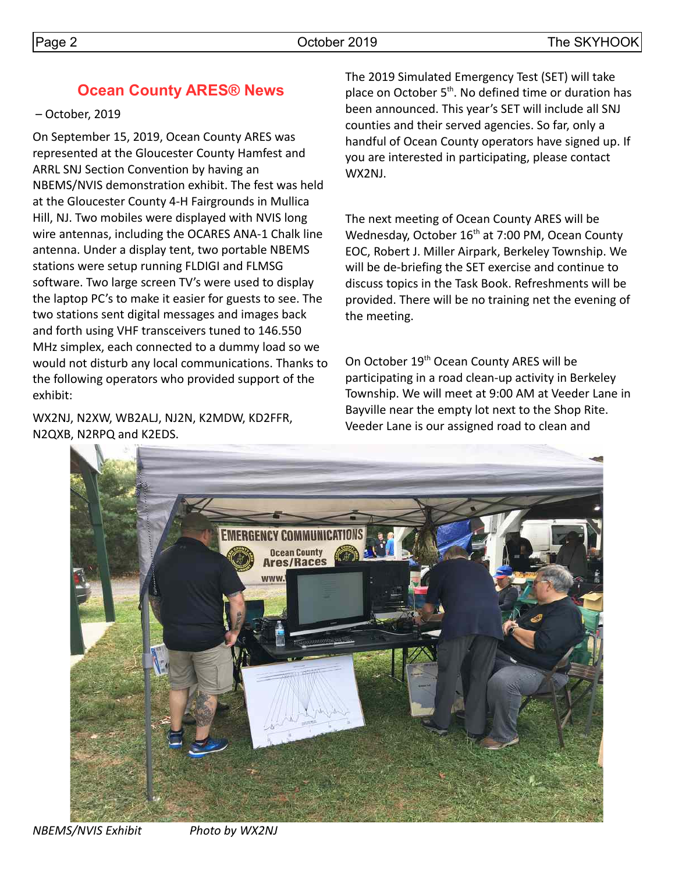## **Ocean County ARES® News**

### – October, 2019

On September 15, 2019, Ocean County ARES was represented at the Gloucester County Hamfest and ARRL SNJ Section Convention by having an NBEMS/NVIS demonstration exhibit. The fest was held at the Gloucester County 4-H Fairgrounds in Mullica Hill, NJ. Two mobiles were displayed with NVIS long wire antennas, including the OCARES ANA-1 Chalk line antenna. Under a display tent, two portable NBEMS stations were setup running FLDIGI and FLMSG software. Two large screen TV's were used to display the laptop PC's to make it easier for guests to see. The two stations sent digital messages and images back and forth using VHF transceivers tuned to 146.550 MHz simplex, each connected to a dummy load so we would not disturb any local communications. Thanks to the following operators who provided support of the exhibit:

WX2NJ, N2XW, WB2ALJ, NJ2N, K2MDW, KD2FFR, N2QXB, N2RPQ and K2EDS.

The 2019 Simulated Emergency Test (SET) will take place on October  $5<sup>th</sup>$ . No defined time or duration has been announced. This year's SET will include all SNJ counties and their served agencies. So far, only a handful of Ocean County operators have signed up. If you are interested in participating, please contact WX2NJ.

The next meeting of Ocean County ARES will be Wednesday, October 16<sup>th</sup> at 7:00 PM, Ocean County EOC, Robert J. Miller Airpark, Berkeley Township. We will be de-briefing the SET exercise and continue to discuss topics in the Task Book. Refreshments will be provided. There will be no training net the evening of the meeting.

On October 19<sup>th</sup> Ocean County ARES will be participating in a road clean-up activity in Berkeley Township. We will meet at 9:00 AM at Veeder Lane in Bayville near the empty lot next to the Shop Rite. Veeder Lane is our assigned road to clean and



*NBEMS/NVIS Exhibit Photo by WX2NJ*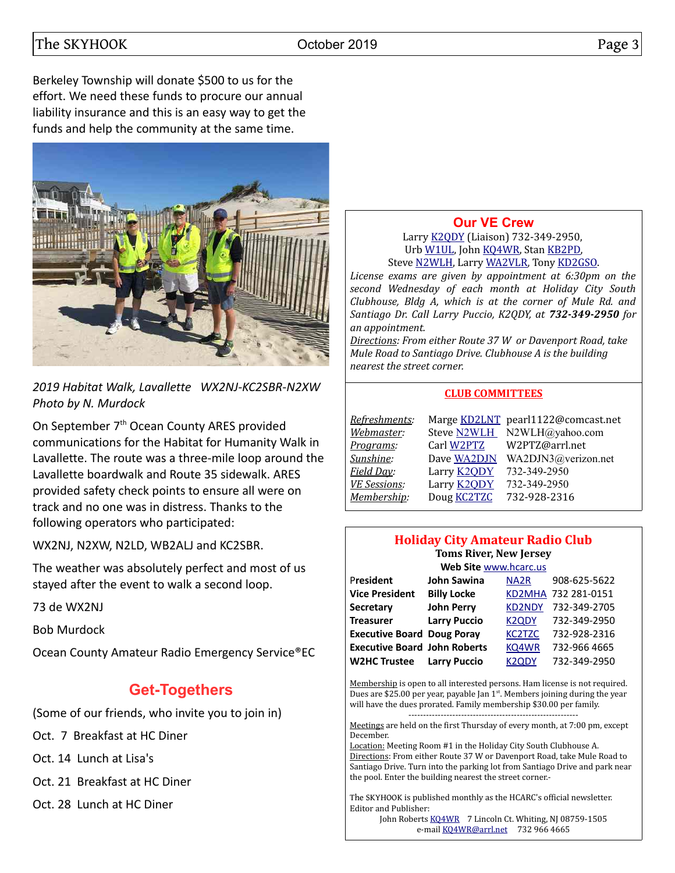### The SKYHOOK Corober 2019

Berkeley Township will donate \$500 to us for the effort. We need these funds to procure our annual liability insurance and this is an easy way to get the funds and help the community at the same time.



*2019 Habitat Walk, Lavallette WX2NJ-KC2SBR-N2XW Photo by N. Murdock*

On September 7<sup>th</sup> Ocean County ARES provided communications for the Habitat for Humanity Walk in Lavallette. The route was a three-mile loop around the Lavallette boardwalk and Route 35 sidewalk. ARES provided safety check points to ensure all were on track and no one was in distress. Thanks to the following operators who participated:

WX2NJ, N2XW, N2LD, WB2ALJ and KC2SBR.

The weather was absolutely perfect and most of us stayed after the event to walk a second loop.

73 de WX2NJ

Bob Murdock

Ocean County Amateur Radio Emergency Service®EC

## **Get-Togethers**

(Some of our friends, who invite you to join in)

Oct. 7 Breakfast at HC Diner

Oct. 14 Lunch at Lisa's

Oct. 21 Breakfast at HC Diner

Oct. 28 Lunch at HC Diner

### **[Our VE Crew](mailto:lpuccio1@comcast.net?subject=VE)**

Larry [K2QDY](mailto:lpuccio071@gmail.com) (Liaison) 732-349-2950, Urb [W1UL,](mailto:urb@W1UL.com) John [KQ4WR,](mailto:kq4wr@arrl.net) Stan [KB2PD,](mailto:kb2pd@hotmail.com) Steve [N2WLH,](mailto:n2wlh@yahoo.com) Larry [WA2VLR,](mailto:lloscalz@optonline.net) Tony [KD2GSO.](mailto:tonyk613@comcast.net)

*License exams are given by appointment at 6:30pm on the second Wednesday of each month at Holiday City South Clubhouse, Bldg A, which is at the corner of Mule Rd. and Santiago Dr. Call Larry Puccio, K2QDY, at 732-349-2950 for an appointment.* 

*Directions: From either Route 37 W or Davenport Road, take Mule Road to Santiago Drive. Clubhouse A is the building nearest the street corner.*

#### **CLUB COMMITTEES**

| Refreshments:       |                    | Marge KD2LNT pearl1122@comcast.net |
|---------------------|--------------------|------------------------------------|
| Webmaster:          | Steve N2WLH        | N2WLH@yahoo.com                    |
| Programs:           | Carl W2PTZ         | W2PTZ@arrl.net                     |
| Sunshine:           | Dave WA2DJN        | WA2DJN3@verizon.net                |
| Field Day:          | Larry <b>K2QDY</b> | 732-349-2950                       |
| <b>VE Sessions:</b> | Larry <b>K2QDY</b> | 732-349-2950                       |
| Membership:         | Doug <b>KC2TZC</b> | 732-928-2316                       |

#### **Holiday City Amateur Radio Club Toms River, New Jersey**

| Web Site www.hcarc.us               |                     |                    |                     |  |  |  |  |
|-------------------------------------|---------------------|--------------------|---------------------|--|--|--|--|
| President                           | <b>John Sawina</b>  | NA <sub>2</sub> R  | 908-625-5622        |  |  |  |  |
| <b>Vice President</b>               | <b>Billy Locke</b>  |                    | KD2MHA 732 281-0151 |  |  |  |  |
| <b>Secretary</b>                    | <b>John Perry</b>   | <b>KD2NDY</b>      | 732-349-2705        |  |  |  |  |
| <b>Treasurer</b>                    | <b>Larry Puccio</b> | K <sub>2</sub> ODY | 732-349-2950        |  |  |  |  |
| <b>Executive Board Doug Poray</b>   |                     | <b>KC2TZC</b>      | 732-928-2316        |  |  |  |  |
| <b>Executive Board John Roberts</b> |                     | KQ4WR              | 732-966 4665        |  |  |  |  |
| <b>W2HC Trustee</b>                 | <b>Larry Puccio</b> | <b>K2QDY</b>       | 732-349-2950        |  |  |  |  |

Membership is open to all interested persons. Ham license is not required. Dues are \$25.00 per year, payable Jan  $1<sup>st</sup>$ . Members joining during the year will have the dues prorated. Family membership \$30.00 per family. ----------------------------------------------------------

Meetings are held on the first Thursday of every month, at 7:00 pm, except December.

Location: Meeting Room #1 in the Holiday City South Clubhouse A. Directions: From either Route 37 W or Davenport Road, take Mule Road to Santiago Drive. Turn into the parking lot from Santiago Drive and park near the pool. Enter the building nearest the street corner.-

The SKYHOOK is published monthly as the HCARC's official newsletter. Editor and Publisher:

John Roberts [KQ4WR](mailto:kq4wr@arrl.net) 7 Lincoln Ct. Whiting, NJ 08759-1505 e-mail [KQ4WR@arrl.net](mailto:KQ4WR@arrl.net) 732 966 4665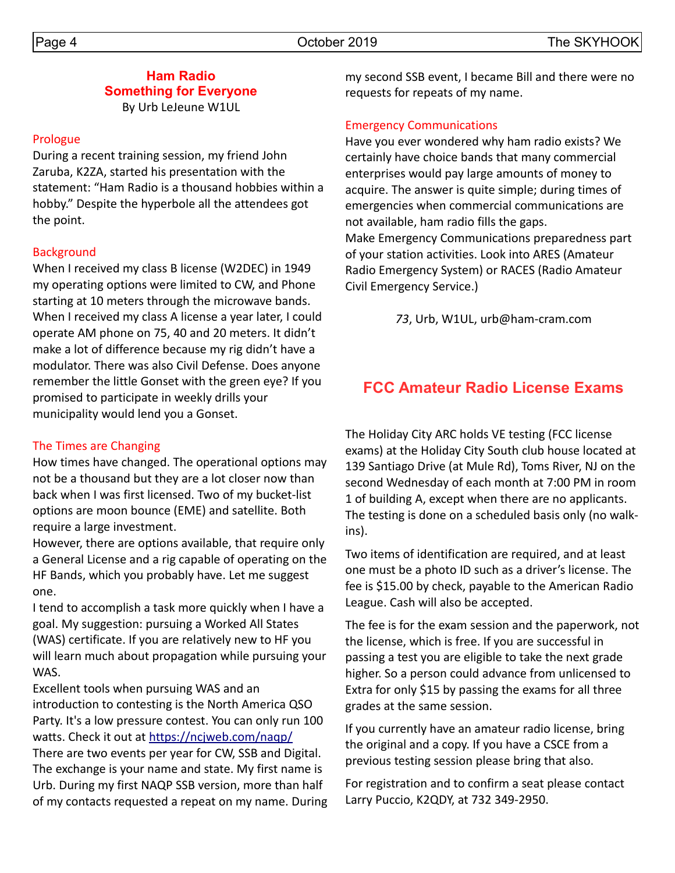#### **Ham Radio Something for Everyone** By Urb LeJeune W1UL

#### Prologue

During a recent training session, my friend John Zaruba, K2ZA, started his presentation with the statement: "Ham Radio is a thousand hobbies within a hobby." Despite the hyperbole all the attendees got the point.

#### **Background**

When I received my class B license (W2DEC) in 1949 my operating options were limited to CW, and Phone starting at 10 meters through the microwave bands. When I received my class A license a year later, I could operate AM phone on 75, 40 and 20 meters. It didn't make a lot of difference because my rig didn't have a modulator. There was also Civil Defense. Does anyone remember the little Gonset with the green eye? If you promised to participate in weekly drills your municipality would lend you a Gonset.

#### The Times are Changing

How times have changed. The operational options may not be a thousand but they are a lot closer now than back when I was first licensed. Two of my bucket-list options are moon bounce (EME) and satellite. Both require a large investment.

However, there are options available, that require only a General License and a rig capable of operating on the HF Bands, which you probably have. Let me suggest one.

I tend to accomplish a task more quickly when I have a goal. My suggestion: pursuing a Worked All States (WAS) certificate. If you are relatively new to HF you will learn much about propagation while pursuing your WAS.

Excellent tools when pursuing WAS and an introduction to contesting is the North America QSO Party. It's a low pressure contest. You can only run 100 watts. Check it out at<https://ncjweb.com/naqp/> There are two events per year for CW, SSB and Digital. The exchange is your name and state. My first name is Urb. During my first NAQP SSB version, more than half of my contacts requested a repeat on my name. During my second SSB event, I became Bill and there were no requests for repeats of my name.

#### Emergency Communications

Have you ever wondered why ham radio exists? We certainly have choice bands that many commercial enterprises would pay large amounts of money to acquire. The answer is quite simple; during times of emergencies when commercial communications are not available, ham radio fills the gaps. Make Emergency Communications preparedness part of your station activities. Look into ARES (Amateur Radio Emergency System) or RACES (Radio Amateur Civil Emergency Service.)

*73*, Urb, W1UL, urb@ham-cram.com

## **FCC Amateur Radio License Exams**

The Holiday City ARC holds VE testing (FCC license exams) at the Holiday City South club house located at 139 Santiago Drive (at Mule Rd), Toms River, NJ on the second Wednesday of each month at 7:00 PM in room 1 of building A, except when there are no applicants. The testing is done on a scheduled basis only (no walkins).

Two items of identification are required, and at least one must be a photo ID such as a driver's license. The fee is \$15.00 by check, payable to the American Radio League. Cash will also be accepted.

The fee is for the exam session and the paperwork, not the license, which is free. If you are successful in passing a test you are eligible to take the next grade higher. So a person could advance from unlicensed to Extra for only \$15 by passing the exams for all three grades at the same session.

If you currently have an amateur radio license, bring the original and a copy. If you have a CSCE from a previous testing session please bring that also.

For registration and to confirm a seat please contact Larry Puccio, K2QDY, at 732 349-2950.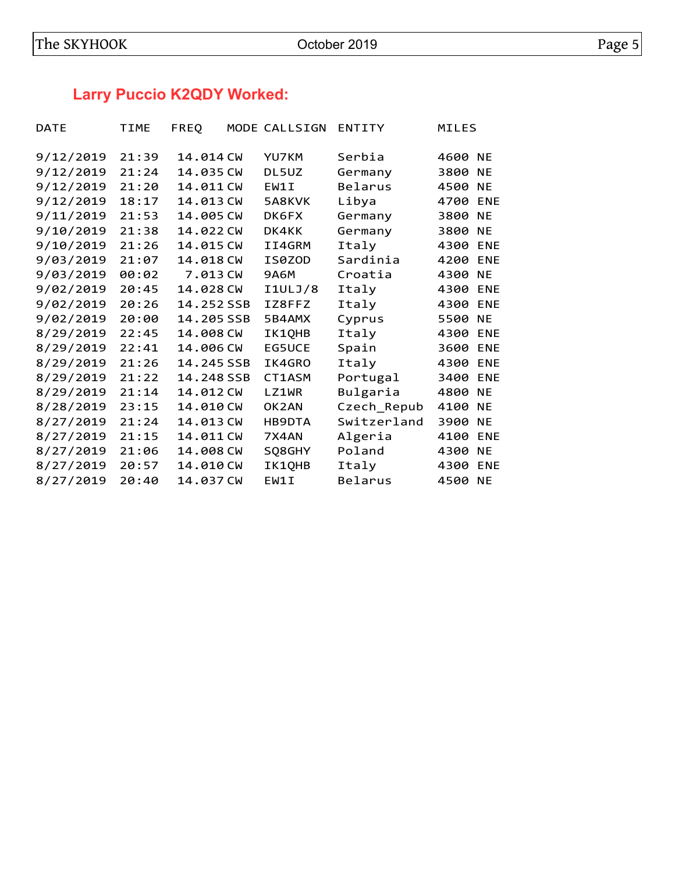# **Larry Puccio K2QDY Worked:**

| <b>DATE</b> | TIME  | <b>FREQ</b> | MODE CALLSIGN | <b>ENTITY</b>  | MILES   |            |
|-------------|-------|-------------|---------------|----------------|---------|------------|
| 9/12/2019   | 21:39 | 14.014 CW   | YU7KM         | Serbia         | 4600 NE |            |
| 9/12/2019   | 21:24 | 14.035 CW   | DL5UZ         |                | 3800    | <b>NE</b>  |
|             |       |             |               | Germany        |         |            |
| 9/12/2019   | 21:20 | 14.011 CW   | EW1I          | <b>Belarus</b> | 4500    | <b>NE</b>  |
| 9/12/2019   | 18:17 | 14.013 CW   | 5A8KVK        | Libya          | 4700    | <b>ENE</b> |
| 9/11/2019   | 21:53 | 14.005 CW   | DK6FX         | Germany        | 3800    | <b>NE</b>  |
| 9/10/2019   | 21:38 | 14.022 CW   | DK4KK         | Germany        | 3800    | <b>NE</b>  |
| 9/10/2019   | 21:26 | 14.015 CW   | II4GRM        | Italy          | 4300    | <b>ENE</b> |
| 9/03/2019   | 21:07 | 14.018 CW   | IS0ZOD        | Sardinia       | 4200    | <b>ENE</b> |
| 9/03/2019   | 00:02 | 7.013 CW    | <b>9A6M</b>   | Croatia        | 4300    | <b>NE</b>  |
| 9/02/2019   | 20:45 | 14.028 CW   | I1ULJ/8       | Italy          | 4300    | <b>ENE</b> |
| 9/02/2019   | 20:26 | 14.252 SSB  | IZ8FFZ        | Italy          | 4300    | <b>ENE</b> |
| 9/02/2019   | 20:00 | 14.205 SSB  | 5B4AMX        | Cyprus         | 5500    | <b>NE</b>  |
| 8/29/2019   | 22:45 | 14,008 CW   | IK1QHB        | Italy          | 4300    | <b>ENE</b> |
| 8/29/2019   | 22:41 | 14.006 CW   | EG5UCE        | Spain          | 3600    | <b>ENE</b> |
| 8/29/2019   | 21:26 | 14.245 SSB  | IK4GRO        | Italy          | 4300    | <b>ENE</b> |
| 8/29/2019   | 21:22 | 14.248 SSB  | CT1ASM        | Portugal       | 3400    | <b>ENE</b> |
| 8/29/2019   | 21:14 | 14.012 CW   | LZ1WR         | Bulgaria       | 4800    | <b>NE</b>  |
| 8/28/2019   | 23:15 | 14.010 CW   | OK2AN         | Czech_Repub    | 4100    | <b>NE</b>  |
| 8/27/2019   | 21:24 | 14.013 CW   | HB9DTA        | Switzerland    | 3900    | <b>NE</b>  |
| 8/27/2019   | 21:15 | 14.011 CW   | 7X4AN         | Algeria        | 4100    | <b>ENE</b> |
| 8/27/2019   | 21:06 | 14.008 CW   | SQ8GHY        | Poland         | 4300    | <b>NE</b>  |
| 8/27/2019   | 20:57 | 14.010 CW   | IK1QHB        | Italy          | 4300    | <b>ENE</b> |
| 8/27/2019   | 20:40 | 14.037 CW   | EW1I          | <b>Belarus</b> | 4500    | <b>NE</b>  |
|             |       |             |               |                |         |            |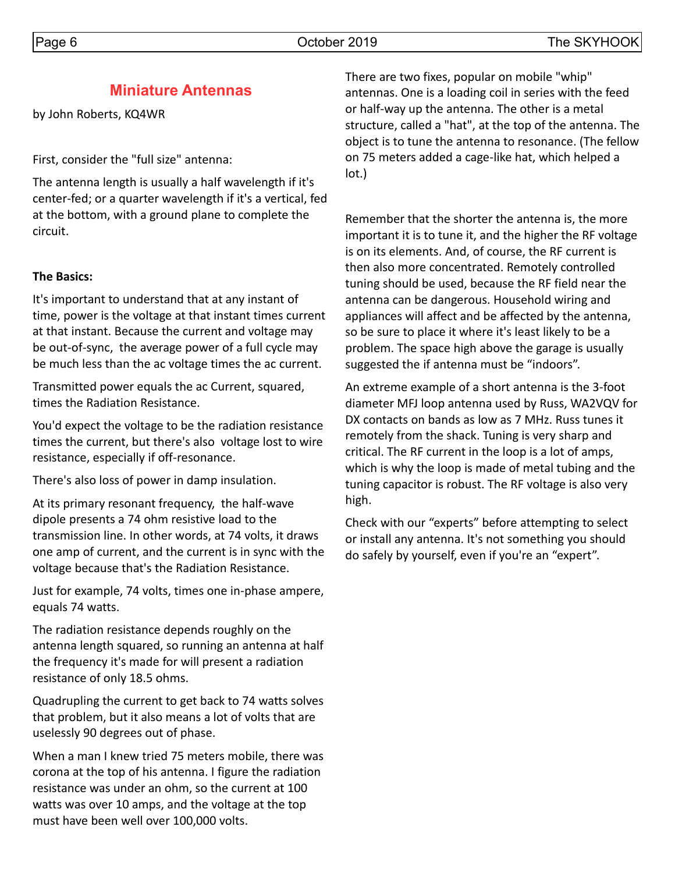## **Miniature Antennas**

by John Roberts, KQ4WR

First, consider the "full size" antenna:

The antenna length is usually a half wavelength if it's center-fed; or a quarter wavelength if it's a vertical, fed at the bottom, with a ground plane to complete the circuit.

#### **The Basics:**

It's important to understand that at any instant of time, power is the voltage at that instant times current at that instant. Because the current and voltage may be out-of-sync, the average power of a full cycle may be much less than the ac voltage times the ac current.

Transmitted power equals the ac Current, squared, times the Radiation Resistance.

You'd expect the voltage to be the radiation resistance times the current, but there's also voltage lost to wire resistance, especially if off-resonance.

There's also loss of power in damp insulation.

At its primary resonant frequency, the half-wave dipole presents a 74 ohm resistive load to the transmission line. In other words, at 74 volts, it draws one amp of current, and the current is in sync with the voltage because that's the Radiation Resistance.

Just for example, 74 volts, times one in-phase ampere, equals 74 watts.

The radiation resistance depends roughly on the antenna length squared, so running an antenna at half the frequency it's made for will present a radiation resistance of only 18.5 ohms.

Quadrupling the current to get back to 74 watts solves that problem, but it also means a lot of volts that are uselessly 90 degrees out of phase.

When a man I knew tried 75 meters mobile, there was corona at the top of his antenna. I figure the radiation resistance was under an ohm, so the current at 100 watts was over 10 amps, and the voltage at the top must have been well over 100,000 volts.

There are two fixes, popular on mobile "whip" antennas. One is a loading coil in series with the feed or half-way up the antenna. The other is a metal structure, called a "hat", at the top of the antenna. The object is to tune the antenna to resonance. (The fellow on 75 meters added a cage-like hat, which helped a lot.)

Remember that the shorter the antenna is, the more important it is to tune it, and the higher the RF voltage is on its elements. And, of course, the RF current is then also more concentrated. Remotely controlled tuning should be used, because the RF field near the antenna can be dangerous. Household wiring and appliances will affect and be affected by the antenna, so be sure to place it where it's least likely to be a problem. The space high above the garage is usually suggested the if antenna must be "indoors".

An extreme example of a short antenna is the 3-foot diameter MFJ loop antenna used by Russ, WA2VQV for DX contacts on bands as low as 7 MHz. Russ tunes it remotely from the shack. Tuning is very sharp and critical. The RF current in the loop is a lot of amps, which is why the loop is made of metal tubing and the tuning capacitor is robust. The RF voltage is also very high.

Check with our "experts" before attempting to select or install any antenna. It's not something you should do safely by yourself, even if you're an "expert".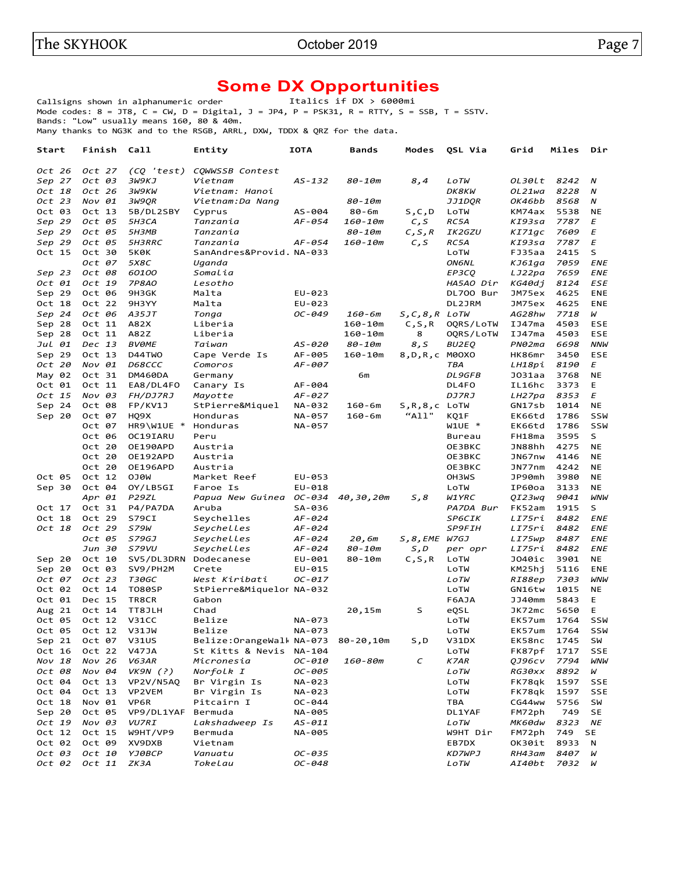## **Some DX Opportunities**

Callsigns shown in alphanumeric order **Italics** if DX > 6000m<mark>i</mark> Mode codes:  $8 = JTS$ ,  $C = CW$ ,  $D = Digital$ ,  $J = JP4$ ,  $P = PSK31$ ,  $R = RTTY$ ,  $S = SSB$ ,  $T = SSTV$ . Bands: "Low" usually means 160, 80 & 40m. Many thanks to NG3K and to the RSGB, ARRL, DXW, TDDX & QRZ for the data.

| Start            | Finish           | <b>Call</b>           | Entity                              | <b>IOTA</b> | Bands       | Modes             | QSL Via              | Grid               | Miles        | Dir        |
|------------------|------------------|-----------------------|-------------------------------------|-------------|-------------|-------------------|----------------------|--------------------|--------------|------------|
|                  |                  |                       |                                     |             |             |                   |                      |                    |              |            |
| Oct 26           | Oct 27           | (CQ 'test)            | CQWWSSB Contest                     |             |             |                   |                      |                    |              |            |
| Sep 27           | Oct 03           | 3W9KJ                 | Vietnam                             | $AS - 132$  | 80-10m      | 8,4               | LoTW                 | OL30Lt             | 8242         | Ν          |
| Oct 18           | Oct 26           | 3W9KW                 | Vietnam: Hanoi                      |             |             |                   | DK8KW                | OL21wa             | 8228         | Ν          |
| Oct 23           | Nov 01           | 3W9QR                 | Vietnam:Da Nang                     |             | 80-10m      |                   | <i>JJ1DQR</i>        | 0K46bb             | 8568         | Ν          |
| Oct 03           | Oct 13           | 5B/DL2SBY             | Cyprus                              | AS-004      | 80-6m       | S, C, D           | LoTW                 | KM74ax             | 5538         | <b>NE</b>  |
| Sep 29           | Oct 05           | 5H3CA                 | Tanzania                            | $AF - 054$  | 160-10m     | C, S              | RC5A                 | KI93sa             | 7787         | Ε          |
| Sep 29           | Oct 05           | 5H3MB                 | Tanzania                            |             | 80-10m      | C, S, R           | <i>IK2GZU</i>        | KI71gc             | 7609         | Ε          |
| Sep 29           | Oct 05           | 5H3RRC                | Tanzania                            | $AF - 054$  | 160-10m     | C, S              | RC5A                 | KI93sa             | 7787         | E          |
| Oct 15           | Oct 30           | <b>5K0K</b>           | SanAndres&Provid. NA-033            |             |             |                   | LoTW                 | FJ35aa             | 2415         | S          |
|                  | Oct 07           | 5X8C                  | Uganda                              |             |             |                   | <b>ON6NL</b>         | KJ61ga             | 7059         | <b>ENE</b> |
| Sep 23           | Oct 08           | 60100                 | Somalia                             |             |             |                   | EP3CQ                | LJ22pa             | 7659         | <b>ENE</b> |
| Oct 01           | Oct 19           | 7P8A0                 | Lesotho                             |             |             |                   | HA5AO Dir            | KG40dj             | 8124         | ESE        |
| Sep 29           | Oct 06           | 9H3GK                 | Malta                               | $EU-023$    |             |                   | DL700 Bur            | JM75ex             | 4625         | <b>ENE</b> |
| Oct 18           | Oct 22           | 9H3YY                 | Malta                               | EU-023      |             |                   | DL2JRM               | JM75ex             | 4625         | <b>ENE</b> |
| Sep 24           | Oct 06           | A35JT                 | Tonga                               | OC-049      | $160 - 6m$  | $S, C, 8, R$ LoTW |                      | AG28hw             | 7718         | W          |
| Sep 28           | Oct 11           | A82X                  | Liberia                             |             | 160-10m     | C, S, R           | OQRS/LoTW            | IJ47ma             | 4503         | <b>ESE</b> |
| Sep 28           | Oct 11           | A82Z                  | Liberia                             |             | $160 - 10m$ | 8                 | OQRS/LoTW            | IJ47ma             | 4503         | <b>ESE</b> |
| Jul 01           | Dec 13           | <b>BVOME</b>          | Taiwan                              | AS-020      | 80-10m      | 8,5               | <b>BU2EQ</b>         | PN02ma             | 6698         | <b>NNW</b> |
| Sep 29           | Oct 13           | D44TWO                | Cape Verde Is                       | AF-005      | $160 - 10m$ | 8, D, R, c M00XO  |                      | HK86mr             | 3450         | <b>ESE</b> |
| Oct 20           | Nov 01           | D68CCC                | Comoros                             | AF-007      |             |                   | TBA                  | LH18pi             | 8190         | Ε          |
| May 02           | Oct 31           | DM460DA               | Germany                             |             | 6m          |                   | DL 9GFB              | J <sub>031aa</sub> | 3768         | <b>NE</b>  |
| Oct 01           | Oct 11           | EA8/DL4F0             | Canary Is                           | AF-004      |             |                   | DL4FO                | IL16hc             | 3373         | Е          |
| Oct 15           | $Nov$ 03         | <i>FH/DJ7RJ</i>       | Mayotte                             | AF-027      |             |                   | <b>DJ7RJ</b>         | LH27pa             | 8353         | E          |
| Sep 24           | Oct 08           | FP/KV1J               | StPierre&Miquel                     | NA-032      | 160-6m      | S, R, 8, C        | LoTW                 | GN17sb             | 1014         | NE.        |
| Sep 20           | Oct 07           | HQ9X                  | Honduras                            | NA-057      | $160 - 6m$  | $"$ All"          | KQ1F                 | EK66td             | 1786         | SSW        |
|                  | Oct 07           | HR9\W1UE *            | Honduras                            | NA-057      |             |                   | $W1UE *$             | EK66td             | 1786         | SSW        |
|                  | Oct 06           | OC19IARU              | Peru                                |             |             |                   | <b>Bureau</b>        | FH18ma             | 3595         | S          |
|                  | Oct 20           | OE190APD              | Austria                             |             |             |                   | OE3BKC               | JN88hh             | 4275         | <b>NE</b>  |
|                  | Oct 20           | OE192APD              | Austria                             |             |             |                   | OE3BKC               | JN67nw             | 4146         | <b>NE</b>  |
|                  | Oct 20           | OE196APD              | Austria                             |             |             |                   | OE3BKC               | JN77nm             | 4242         | <b>NE</b>  |
| Oct 05           | Oct 12           | <b>NOLO</b>           | Market Reef                         | EU-053      |             |                   | OH3WS                | JP90mh             | 3980         | NE         |
| Sep 30           | Oct 04           | OY/LB5GI              | Faroe Is                            | EU-018      |             |                   | LoTW                 | IP60oa             | 3133         | NE         |
|                  | Apr 01           | <b>P29ZL</b>          | Papua New Guinea                    | OC-034      | 40,30,20m   | 5,8               | W1YRC                | QI23wq             | 9041         | <b>WNW</b> |
| Oct 17           | Oct 31           | P4/PA7DA              | Aruba                               | SA-036      |             |                   | PA7DA Bur            | FK52am             | 1915         | S          |
| Oct 18           | Oct 29           | S79CI                 | Seychelles                          | AF-024      |             |                   | <b>SP6CIK</b>        | LI75ri             | 8482         | <b>ENE</b> |
| Oct 18           | Oct 29           | <b>S79W</b>           | Seychelles                          | AF-024      |             |                   | <i><b>SP9FIH</b></i> | LI75ri             | 8482         | <b>ENE</b> |
|                  | Oct 05           | <i>S79GJ</i>          | Seychelles                          | AF-024      | 20,6m       | S, 8, EME W7GJ    |                      | LI75wp             | 8487         | <b>ENE</b> |
|                  | Jun 30           | <i>S79VU</i>          | Seychelles                          | AF-024      | 80-10m      | S,D               | per opr              | LI75ri             | 8482         | <b>ENE</b> |
| Sep 20           | Oct 10           | SV5/DL3DRN            | Dodecanese                          | EU-001      | $80 - 10m$  | C, S, R           | LoTW                 | J040ic             | 3901         | NE         |
| Sep 20           | Oct 03           | SV9/PH2M              | Crete                               | EU-015      |             |                   | LoTW                 | KM25hj             | 5116         | <b>ENE</b> |
| Oct 07           | Oct 23           | <b>T30GC</b>          | West Kiribati                       | $OC - 017$  |             |                   | LoTW                 | RI88ep             | 7303         | <b>WNW</b> |
| Oct 02           | Oct 14           | <b>T080SP</b>         | StPierre&Miquelor NA-032            |             |             |                   | LoTW                 | GN16tw             | 1015         | NE         |
| Oct 01           | Dec 15           | TR8CR                 | Gabon                               |             |             |                   | F6AJA                | JJ40mm             | 5843         | Е          |
| Aug 21           | Oct 14           | TT8JLH                | Chad                                |             | 20,15m      | S                 | eQSL                 | JK72mc             | 5650         | E.         |
| Oct 05           | Oct 12           | V31CC                 | Belize                              | NA-073      |             |                   | LoTW                 | EK57um             | 1764         | <b>SSW</b> |
| Oct 05           | Oct 12           | V31JW                 | Belize                              | NA-073      |             |                   | LoTW                 | EK57um             | 1764         | <b>SSW</b> |
| Sep 21           | Oct 07           | <b>V31US</b>          | Belize: OrangeWalk NA-073 80-20,10m |             |             | S,D               | V31DX                | EK58nc             | 1745         | SW         |
| Oct 16           | Oct 22           | V47JA                 | St Kitts & Nevis NA-104             |             |             |                   | LoTW                 | FK87pf             | 1717         | <b>SSE</b> |
| Nov 18           | Nov 26           | V63AR                 | Micronesia                          | OC-010      | 160-80m     | с                 | K7AR                 | QJ96cv             | 7794         | <b>WNW</b> |
|                  | Nov 04           |                       |                                     | OC-005      |             |                   | LoTW                 |                    |              |            |
| Oct 08<br>Oct 04 | Oct 13           | VK9N (?)<br>VP2V/N5AQ | Norfolk I<br>Br Virgin Is           |             |             |                   | LoTW                 | RG30xx<br>FK78qk   | 8892<br>1597 | W<br>SSE   |
|                  |                  |                       |                                     | NA-023      |             |                   |                      |                    |              |            |
| Oct 04           | Oct 13<br>Nov 01 | VP2VEM<br>VP6R        | Br Virgin Is                        | NA-023      |             |                   | LoTW                 | FK78qk             | 1597         | <b>SSE</b> |
| Oct 18           |                  |                       | Pitcairn I                          | $OC - 044$  |             |                   | TBA                  | CG44ww             | 5756         | SW         |
| Sep 20           | Oct 05           | VP9/DL1YAF            | Bermuda                             | NA-005      |             |                   | DL1YAF               | FM72ph             | 749          | SE         |
| Oct 19           | Nov 03           | <b>VU7RI</b>          | Lakshadweep Is                      | AS-011      |             |                   | LoTW                 | MK60dw             | 8323         | ΝE         |
| Oct 12           | Oct 15           | W9HT/VP9              | Bermuda                             | NA-005      |             |                   | W9HT Dir             | FM72ph             | 749          | SE         |
| Oct 02           | Oct 09           | XV9DXB                | Vietnam                             |             |             |                   | EB7DX                | OK30it             | 8933         | N          |
| Oct 03           | Oct 10           | ҮЈӨВСР                | Vanuatu                             | OC-035      |             |                   | <b>KD7WPJ</b>        | RH43am             | 8407         | W          |
| Oct 02           | Oct 11           | ZK3A                  | Tokelau                             | OC-048      |             |                   | LoTW                 | AI40bt             | 7032         | W          |